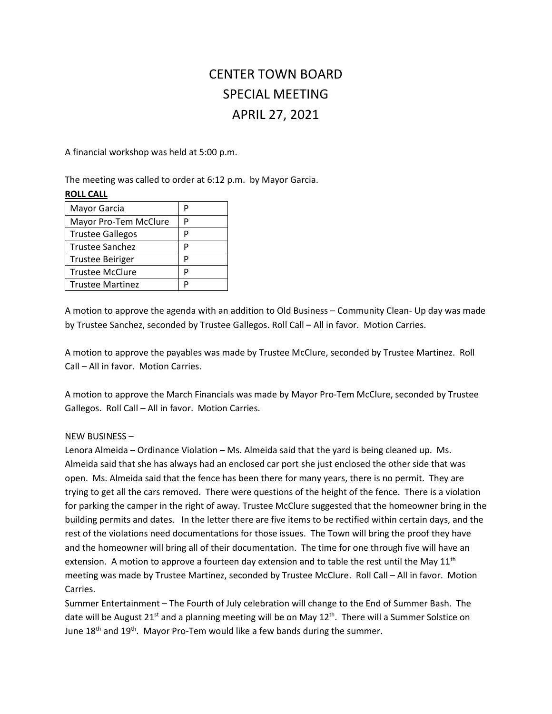# CENTER TOWN BOARD SPECIAL MEETING APRIL 27, 2021

A financial workshop was held at 5:00 p.m.

The meeting was called to order at 6:12 p.m. by Mayor Garcia.

## **ROLL CALL**

| Mayor Garcia            | р |
|-------------------------|---|
| Mayor Pro-Tem McClure   | P |
| <b>Trustee Gallegos</b> | р |
| <b>Trustee Sanchez</b>  | D |
| <b>Trustee Beiriger</b> | P |
| <b>Trustee McClure</b>  | P |
| <b>Trustee Martinez</b> | D |

A motion to approve the agenda with an addition to Old Business – Community Clean- Up day was made by Trustee Sanchez, seconded by Trustee Gallegos. Roll Call – All in favor. Motion Carries.

A motion to approve the payables was made by Trustee McClure, seconded by Trustee Martinez. Roll Call – All in favor. Motion Carries.

A motion to approve the March Financials was made by Mayor Pro-Tem McClure, seconded by Trustee Gallegos. Roll Call – All in favor. Motion Carries.

## NEW BUSINESS –

Lenora Almeida – Ordinance Violation – Ms. Almeida said that the yard is being cleaned up. Ms. Almeida said that she has always had an enclosed car port she just enclosed the other side that was open. Ms. Almeida said that the fence has been there for many years, there is no permit. They are trying to get all the cars removed. There were questions of the height of the fence. There is a violation for parking the camper in the right of away. Trustee McClure suggested that the homeowner bring in the building permits and dates. In the letter there are five items to be rectified within certain days, and the rest of the violations need documentations for those issues. The Town will bring the proof they have and the homeowner will bring all of their documentation. The time for one through five will have an extension. A motion to approve a fourteen day extension and to table the rest until the May  $11<sup>th</sup>$ meeting was made by Trustee Martinez, seconded by Trustee McClure. Roll Call – All in favor. Motion Carries.

Summer Entertainment – The Fourth of July celebration will change to the End of Summer Bash. The date will be August 21<sup>st</sup> and a planning meeting will be on May 12<sup>th</sup>. There will a Summer Solstice on June  $18<sup>th</sup>$  and  $19<sup>th</sup>$ . Mayor Pro-Tem would like a few bands during the summer.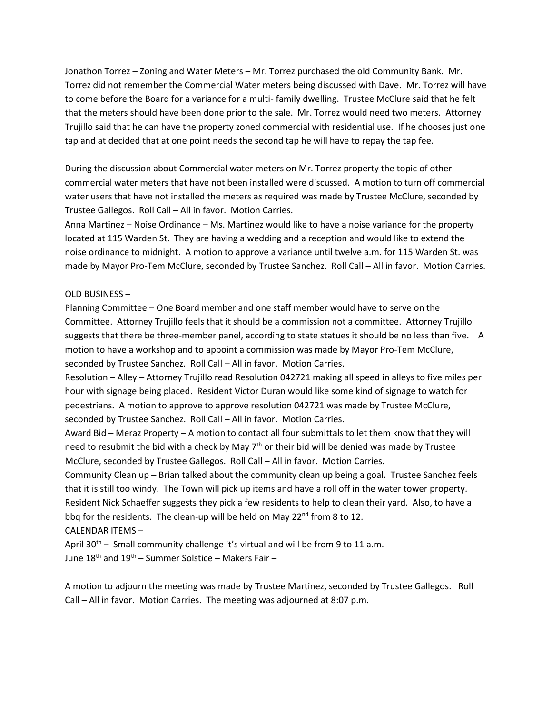Jonathon Torrez – Zoning and Water Meters – Mr. Torrez purchased the old Community Bank. Mr. Torrez did not remember the Commercial Water meters being discussed with Dave. Mr. Torrez will have to come before the Board for a variance for a multi- family dwelling. Trustee McClure said that he felt that the meters should have been done prior to the sale. Mr. Torrez would need two meters. Attorney Trujillo said that he can have the property zoned commercial with residential use. If he chooses just one tap and at decided that at one point needs the second tap he will have to repay the tap fee.

During the discussion about Commercial water meters on Mr. Torrez property the topic of other commercial water meters that have not been installed were discussed. A motion to turn off commercial water users that have not installed the meters as required was made by Trustee McClure, seconded by Trustee Gallegos. Roll Call – All in favor. Motion Carries.

Anna Martinez – Noise Ordinance – Ms. Martinez would like to have a noise variance for the property located at 115 Warden St. They are having a wedding and a reception and would like to extend the noise ordinance to midnight. A motion to approve a variance until twelve a.m. for 115 Warden St. was made by Mayor Pro-Tem McClure, seconded by Trustee Sanchez. Roll Call – All in favor. Motion Carries.

### OLD BUSINESS –

Planning Committee – One Board member and one staff member would have to serve on the Committee. Attorney Trujillo feels that it should be a commission not a committee. Attorney Trujillo suggests that there be three-member panel, according to state statues it should be no less than five. A motion to have a workshop and to appoint a commission was made by Mayor Pro-Tem McClure, seconded by Trustee Sanchez. Roll Call – All in favor. Motion Carries.

Resolution – Alley – Attorney Trujillo read Resolution 042721 making all speed in alleys to five miles per hour with signage being placed. Resident Victor Duran would like some kind of signage to watch for pedestrians. A motion to approve to approve resolution 042721 was made by Trustee McClure, seconded by Trustee Sanchez. Roll Call – All in favor. Motion Carries.

Award Bid – Meraz Property – A motion to contact all four submittals to let them know that they will need to resubmit the bid with a check by May  $7<sup>th</sup>$  or their bid will be denied was made by Trustee McClure, seconded by Trustee Gallegos. Roll Call – All in favor. Motion Carries.

Community Clean up – Brian talked about the community clean up being a goal. Trustee Sanchez feels that it is still too windy. The Town will pick up items and have a roll off in the water tower property. Resident Nick Schaeffer suggests they pick a few residents to help to clean their yard. Also, to have a bbq for the residents. The clean-up will be held on May  $22^{nd}$  from 8 to 12.

## CALENDAR ITEMS –

April  $30^{th}$  – Small community challenge it's virtual and will be from 9 to 11 a.m. June  $18^{th}$  and  $19^{th}$  – Summer Solstice – Makers Fair –

A motion to adjourn the meeting was made by Trustee Martinez, seconded by Trustee Gallegos. Roll Call – All in favor. Motion Carries. The meeting was adjourned at 8:07 p.m.